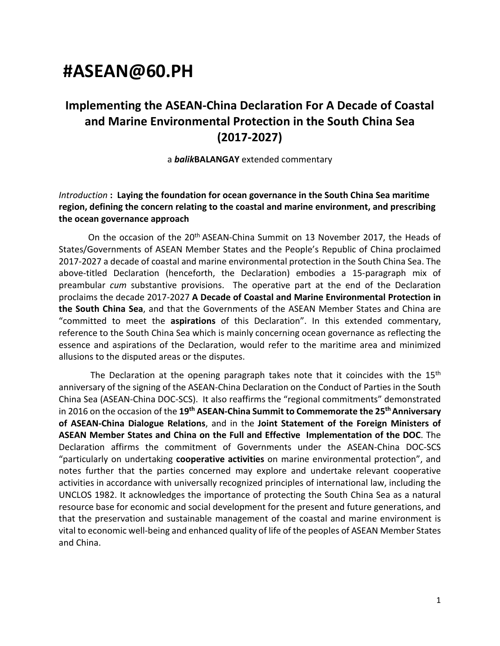# **#ASEAN@60.PH**

# **Implementing the ASEAN-China Declaration For A Decade of Coastal and Marine Environmental Protection in the South China Sea (2017-2027)**

a *balik***BALANGAY** extended commentary

#### *Introduction* **: Laying the foundation for ocean governance in the South China Sea maritime region, defining the concern relating to the coastal and marine environment, and prescribing the ocean governance approach**

On the occasion of the 20<sup>th</sup> ASEAN-China Summit on 13 November 2017, the Heads of States/Governments of ASEAN Member States and the People's Republic of China proclaimed 2017-2027 a decade of coastal and marine environmental protection in the South China Sea. The above-titled Declaration (henceforth, the Declaration) embodies a 15-paragraph mix of preambular *cum* substantive provisions. The operative part at the end of the Declaration proclaims the decade 2017-2027 **A Decade of Coastal and Marine Environmental Protection in the South China Sea**, and that the Governments of the ASEAN Member States and China are "committed to meet the **aspirations** of this Declaration". In this extended commentary, reference to the South China Sea which is mainly concerning ocean governance as reflecting the essence and aspirations of the Declaration, would refer to the maritime area and minimized allusions to the disputed areas or the disputes.

The Declaration at the opening paragraph takes note that it coincides with the 15<sup>th</sup> anniversary of the signing of the ASEAN-China Declaration on the Conduct of Parties in the South China Sea (ASEAN-China DOC-SCS). It also reaffirms the "regional commitments" demonstrated in 2016 on the occasion of the **19th ASEAN-China Summit to Commemorate the 25th Anniversary of ASEAN-China Dialogue Relations**, and in the **Joint Statement of the Foreign Ministers of ASEAN Member States and China on the Full and Effective Implementation of the DOC**. The Declaration affirms the commitment of Governments under the ASEAN-China DOC-SCS "particularly on undertaking **cooperative activities** on marine environmental protection", and notes further that the parties concerned may explore and undertake relevant cooperative activities in accordance with universally recognized principles of international law, including the UNCLOS 1982. It acknowledges the importance of protecting the South China Sea as a natural resource base for economic and social development for the present and future generations, and that the preservation and sustainable management of the coastal and marine environment is vital to economic well-being and enhanced quality of life of the peoples of ASEAN Member States and China.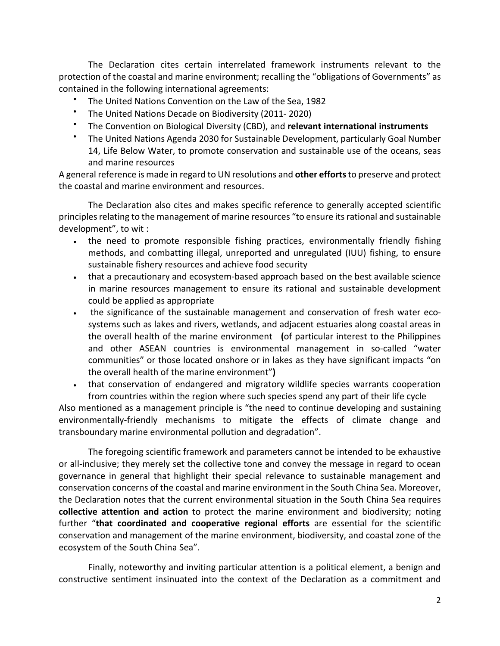The Declaration cites certain interrelated framework instruments relevant to the protection of the coastal and marine environment; recalling the "obligations of Governments" as contained in the following international agreements:

- The United Nations Convention on the Law of the Sea, 1982
- The United Nations Decade on Biodiversity (2011- 2020)
- The Convention on Biological Diversity (CBD), and **relevant international instruments**
- The United Nations Agenda 2030 for Sustainable Development, particularly Goal Number 14, Life Below Water, to promote conservation and sustainable use of the oceans, seas and marine resources

A general reference is made in regard to UN resolutions and **other efforts**to preserve and protect the coastal and marine environment and resources.

The Declaration also cites and makes specific reference to generally accepted scientific principles relating to the management of marine resources "to ensure its rational and sustainable development", to wit :

- the need to promote responsible fishing practices, environmentally friendly fishing methods, and combatting illegal, unreported and unregulated (IUU) fishing, to ensure sustainable fishery resources and achieve food security
- that a precautionary and ecosystem-based approach based on the best available science in marine resources management to ensure its rational and sustainable development could be applied as appropriate
- the significance of the sustainable management and conservation of fresh water ecosystems such as lakes and rivers, wetlands, and adjacent estuaries along coastal areas in the overall health of the marine environment **(**of particular interest to the Philippines and other ASEAN countries is environmental management in so-called "water communities" or those located onshore or in lakes as they have significant impacts "on the overall health of the marine environment"**)**
- that conservation of endangered and migratory wildlife species warrants cooperation from countries within the region where such species spend any part of their life cycle

Also mentioned as a management principle is "the need to continue developing and sustaining environmentally-friendly mechanisms to mitigate the effects of climate change and transboundary marine environmental pollution and degradation".

The foregoing scientific framework and parameters cannot be intended to be exhaustive or all-inclusive; they merely set the collective tone and convey the message in regard to ocean governance in general that highlight their special relevance to sustainable management and conservation concerns of the coastal and marine environment in the South China Sea. Moreover, the Declaration notes that the current environmental situation in the South China Sea requires **collective attention and action** to protect the marine environment and biodiversity; noting further "**that coordinated and cooperative regional efforts** are essential for the scientific conservation and management of the marine environment, biodiversity, and coastal zone of the ecosystem of the South China Sea".

Finally, noteworthy and inviting particular attention is a political element, a benign and constructive sentiment insinuated into the context of the Declaration as a commitment and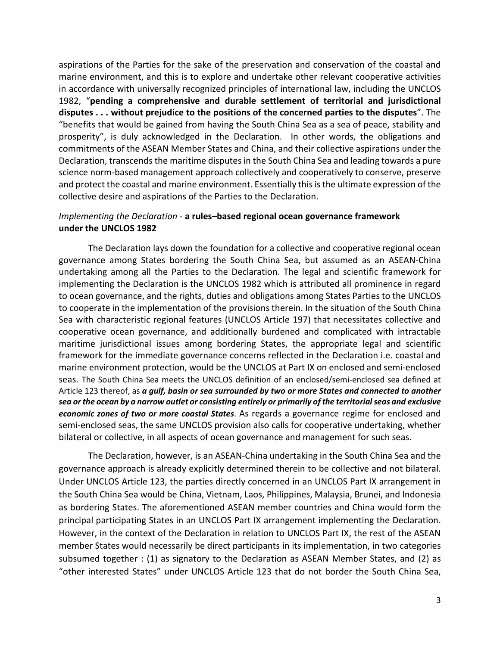aspirations of the Parties for the sake of the preservation and conservation of the coastal and marine environment, and this is to explore and undertake other relevant cooperative activities in accordance with universally recognized principles of international law, including the UNCLOS 1982, "**pending a comprehensive and durable settlement of territorial and jurisdictional disputes . . . without prejudice to the positions of the concerned parties to the disputes**". The "benefits that would be gained from having the South China Sea as a sea of peace, stability and prosperity", is duly acknowledged in the Declaration. In other words, the obligations and commitments of the ASEAN Member States and China, and their collective aspirations under the Declaration, transcends the maritime disputes in the South China Sea and leading towards a pure science norm-based management approach collectively and cooperatively to conserve, preserve and protect the coastal and marine environment. Essentially this is the ultimate expression of the collective desire and aspirations of the Parties to the Declaration.

#### *Implementing the Declaration* - **a rules–based regional ocean governance framework under the UNCLOS 1982**

The Declaration lays down the foundation for a collective and cooperative regional ocean governance among States bordering the South China Sea, but assumed as an ASEAN-China undertaking among all the Parties to the Declaration. The legal and scientific framework for implementing the Declaration is the UNCLOS 1982 which is attributed all prominence in regard to ocean governance, and the rights, duties and obligations among States Parties to the UNCLOS to cooperate in the implementation of the provisions therein. In the situation of the South China Sea with characteristic regional features (UNCLOS Article 197) that necessitates collective and cooperative ocean governance, and additionally burdened and complicated with intractable maritime jurisdictional issues among bordering States, the appropriate legal and scientific framework for the immediate governance concerns reflected in the Declaration i.e. coastal and marine environment protection, would be the UNCLOS at Part IX on enclosed and semi-enclosed seas. The South China Sea meets the UNCLOS definition of an enclosed/semi-enclosed sea defined at Article 123 thereof, as *a gulf, basin or sea surrounded by two or more States and connected to another sea or the ocean by a narrow outlet or consisting entirely or primarily of the territorial seas and exclusive economic zones of two or more coastal States*. As regards a governance regime for enclosed and semi-enclosed seas, the same UNCLOS provision also calls for cooperative undertaking, whether bilateral or collective, in all aspects of ocean governance and management for such seas.

The Declaration, however, is an ASEAN-China undertaking in the South China Sea and the governance approach is already explicitly determined therein to be collective and not bilateral. Under UNCLOS Article 123, the parties directly concerned in an UNCLOS Part IX arrangement in the South China Sea would be China, Vietnam, Laos, Philippines, Malaysia, Brunei, and Indonesia as bordering States. The aforementioned ASEAN member countries and China would form the principal participating States in an UNCLOS Part IX arrangement implementing the Declaration. However, in the context of the Declaration in relation to UNCLOS Part IX, the rest of the ASEAN member States would necessarily be direct participants in its implementation, in two categories subsumed together : (1) as signatory to the Declaration as ASEAN Member States, and (2) as "other interested States" under UNCLOS Article 123 that do not border the South China Sea,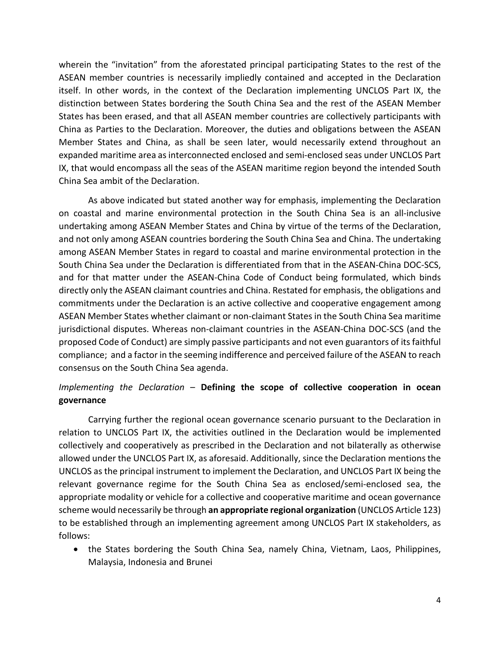wherein the "invitation" from the aforestated principal participating States to the rest of the ASEAN member countries is necessarily impliedly contained and accepted in the Declaration itself. In other words, in the context of the Declaration implementing UNCLOS Part IX, the distinction between States bordering the South China Sea and the rest of the ASEAN Member States has been erased, and that all ASEAN member countries are collectively participants with China as Parties to the Declaration. Moreover, the duties and obligations between the ASEAN Member States and China, as shall be seen later, would necessarily extend throughout an expanded maritime area as interconnected enclosed and semi-enclosed seas under UNCLOS Part IX, that would encompass all the seas of the ASEAN maritime region beyond the intended South China Sea ambit of the Declaration.

As above indicated but stated another way for emphasis, implementing the Declaration on coastal and marine environmental protection in the South China Sea is an all-inclusive undertaking among ASEAN Member States and China by virtue of the terms of the Declaration, and not only among ASEAN countries bordering the South China Sea and China. The undertaking among ASEAN Member States in regard to coastal and marine environmental protection in the South China Sea under the Declaration is differentiated from that in the ASEAN-China DOC-SCS, and for that matter under the ASEAN-China Code of Conduct being formulated, which binds directly only the ASEAN claimant countries and China. Restated for emphasis, the obligations and commitments under the Declaration is an active collective and cooperative engagement among ASEAN Member States whether claimant or non-claimant States in the South China Sea maritime jurisdictional disputes. Whereas non-claimant countries in the ASEAN-China DOC-SCS (and the proposed Code of Conduct) are simply passive participants and not even guarantors of its faithful compliance; and a factor in the seeming indifference and perceived failure of the ASEAN to reach consensus on the South China Sea agenda.

# *Implementing the Declaration* – **Defining the scope of collective cooperation in ocean governance**

Carrying further the regional ocean governance scenario pursuant to the Declaration in relation to UNCLOS Part IX, the activities outlined in the Declaration would be implemented collectively and cooperatively as prescribed in the Declaration and not bilaterally as otherwise allowed under the UNCLOS Part IX, as aforesaid. Additionally, since the Declaration mentions the UNCLOS as the principal instrument to implement the Declaration, and UNCLOS Part IX being the relevant governance regime for the South China Sea as enclosed/semi-enclosed sea, the appropriate modality or vehicle for a collective and cooperative maritime and ocean governance scheme would necessarily be through **an appropriate regional organization** (UNCLOS Article 123) to be established through an implementing agreement among UNCLOS Part IX stakeholders, as follows:

• the States bordering the South China Sea, namely China, Vietnam, Laos, Philippines, Malaysia, Indonesia and Brunei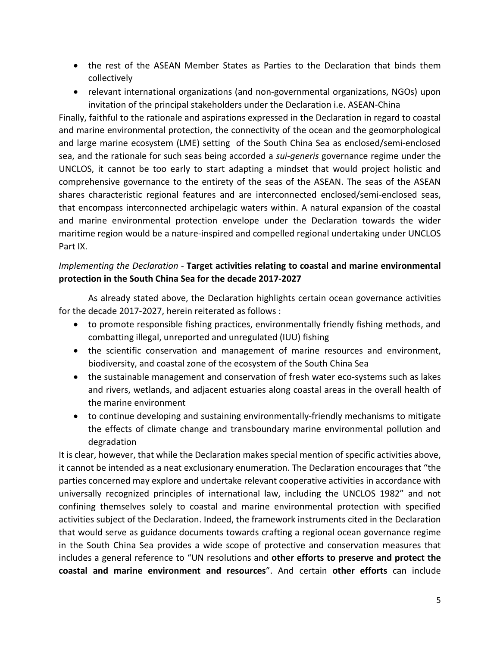- the rest of the ASEAN Member States as Parties to the Declaration that binds them collectively
- relevant international organizations (and non-governmental organizations, NGOs) upon invitation of the principal stakeholders under the Declaration i.e. ASEAN-China

Finally, faithful to the rationale and aspirations expressed in the Declaration in regard to coastal and marine environmental protection, the connectivity of the ocean and the geomorphological and large marine ecosystem (LME) setting of the South China Sea as enclosed/semi-enclosed sea, and the rationale for such seas being accorded a *sui-generis* governance regime under the UNCLOS, it cannot be too early to start adapting a mindset that would project holistic and comprehensive governance to the entirety of the seas of the ASEAN. The seas of the ASEAN shares characteristic regional features and are interconnected enclosed/semi-enclosed seas, that encompass interconnected archipelagic waters within. A natural expansion of the coastal and marine environmental protection envelope under the Declaration towards the wider maritime region would be a nature-inspired and compelled regional undertaking under UNCLOS Part IX.

## *Implementing the Declaration* - **Target activities relating to coastal and marine environmental protection in the South China Sea for the decade 2017-2027**

As already stated above, the Declaration highlights certain ocean governance activities for the decade 2017-2027, herein reiterated as follows :

- to promote responsible fishing practices, environmentally friendly fishing methods, and combatting illegal, unreported and unregulated (IUU) fishing
- the scientific conservation and management of marine resources and environment, biodiversity, and coastal zone of the ecosystem of the South China Sea
- the sustainable management and conservation of fresh water eco-systems such as lakes and rivers, wetlands, and adjacent estuaries along coastal areas in the overall health of the marine environment
- to continue developing and sustaining environmentally-friendly mechanisms to mitigate the effects of climate change and transboundary marine environmental pollution and degradation

It is clear, however, that while the Declaration makes special mention of specific activities above, it cannot be intended as a neat exclusionary enumeration. The Declaration encourages that "the parties concerned may explore and undertake relevant cooperative activities in accordance with universally recognized principles of international law, including the UNCLOS 1982" and not confining themselves solely to coastal and marine environmental protection with specified activities subject of the Declaration. Indeed, the framework instruments cited in the Declaration that would serve as guidance documents towards crafting a regional ocean governance regime in the South China Sea provides a wide scope of protective and conservation measures that includes a general reference to "UN resolutions and **other efforts to preserve and protect the coastal and marine environment and resources**". And certain **other efforts** can include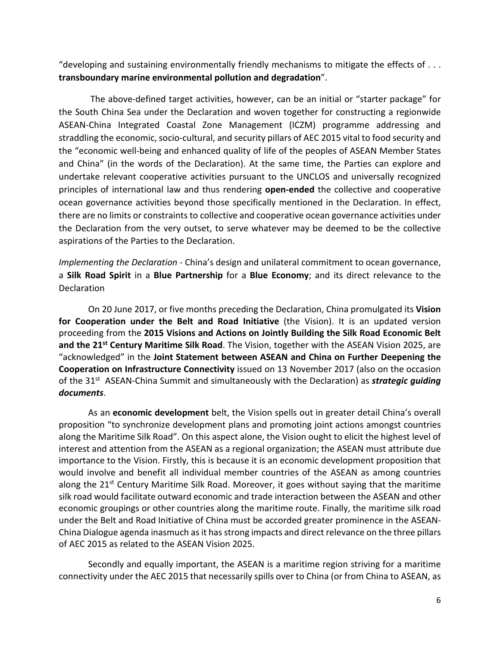"developing and sustaining environmentally friendly mechanisms to mitigate the effects of . . . **transboundary marine environmental pollution and degradation**".

The above-defined target activities, however, can be an initial or "starter package" for the South China Sea under the Declaration and woven together for constructing a regionwide ASEAN-China Integrated Coastal Zone Management (ICZM) programme addressing and straddling the economic, socio-cultural, and security pillars of AEC 2015 vital to food security and the "economic well-being and enhanced quality of life of the peoples of ASEAN Member States and China" (in the words of the Declaration). At the same time, the Parties can explore and undertake relevant cooperative activities pursuant to the UNCLOS and universally recognized principles of international law and thus rendering **open-ended** the collective and cooperative ocean governance activities beyond those specifically mentioned in the Declaration. In effect, there are no limits or constraints to collective and cooperative ocean governance activities under the Declaration from the very outset, to serve whatever may be deemed to be the collective aspirations of the Parties to the Declaration.

*Implementing the Declaration* - China's design and unilateral commitment to ocean governance, a **Silk Road Spirit** in a **Blue Partnership** for a **Blue Economy**; and its direct relevance to the Declaration

On 20 June 2017, or five months preceding the Declaration, China promulgated its **Vision for Cooperation under the Belt and Road Initiative** (the Vision). It is an updated version proceeding from the **2015 Visions and Actions on Jointly Building the Silk Road Economic Belt**  and the 21<sup>st</sup> Century Maritime Silk Road. The Vision, together with the ASEAN Vision 2025, are "acknowledged" in the **Joint Statement between ASEAN and China on Further Deepening the Cooperation on Infrastructure Connectivity** issued on 13 November 2017 (also on the occasion of the 31<sup>st</sup> ASEAN-China Summit and simultaneously with the Declaration) as *strategic guiding documents*.

As an **economic development** belt, the Vision spells out in greater detail China's overall proposition "to synchronize development plans and promoting joint actions amongst countries along the Maritime Silk Road". On this aspect alone, the Vision ought to elicit the highest level of interest and attention from the ASEAN as a regional organization; the ASEAN must attribute due importance to the Vision. Firstly, this is because it is an economic development proposition that would involve and benefit all individual member countries of the ASEAN as among countries along the 21<sup>st</sup> Century Maritime Silk Road. Moreover, it goes without saying that the maritime silk road would facilitate outward economic and trade interaction between the ASEAN and other economic groupings or other countries along the maritime route. Finally, the maritime silk road under the Belt and Road Initiative of China must be accorded greater prominence in the ASEAN-China Dialogue agenda inasmuch as it has strong impacts and direct relevance on the three pillars of AEC 2015 as related to the ASEAN Vision 2025.

Secondly and equally important, the ASEAN is a maritime region striving for a maritime connectivity under the AEC 2015 that necessarily spills over to China (or from China to ASEAN, as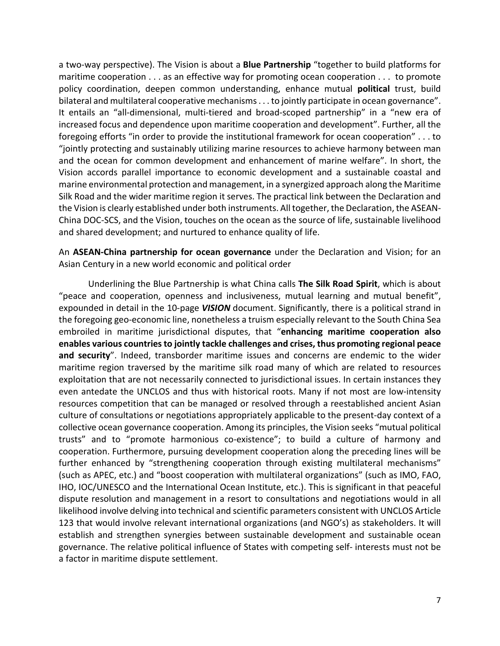a two-way perspective). The Vision is about a **Blue Partnership** "together to build platforms for maritime cooperation . . . as an effective way for promoting ocean cooperation . . . to promote policy coordination, deepen common understanding, enhance mutual **political** trust, build bilateral and multilateral cooperative mechanisms . . . to jointly participate in ocean governance". It entails an "all-dimensional, multi-tiered and broad-scoped partnership" in a "new era of increased focus and dependence upon maritime cooperation and development". Further, all the foregoing efforts "in order to provide the institutional framework for ocean cooperation" . . . to "jointly protecting and sustainably utilizing marine resources to achieve harmony between man and the ocean for common development and enhancement of marine welfare". In short, the Vision accords parallel importance to economic development and a sustainable coastal and marine environmental protection and management, in a synergized approach along the Maritime Silk Road and the wider maritime region it serves. The practical link between the Declaration and the Vision is clearly established under both instruments. All together, the Declaration, the ASEAN-China DOC-SCS, and the Vision, touches on the ocean as the source of life, sustainable livelihood and shared development; and nurtured to enhance quality of life.

An **ASEAN-China partnership for ocean governance** under the Declaration and Vision; for an Asian Century in a new world economic and political order

Underlining the Blue Partnership is what China calls **The Silk Road Spirit**, which is about "peace and cooperation, openness and inclusiveness, mutual learning and mutual benefit", expounded in detail in the 10-page *VISION* document. Significantly, there is a political strand in the foregoing geo-economic line, nonetheless a truism especially relevant to the South China Sea embroiled in maritime jurisdictional disputes, that "**enhancing maritime cooperation also enables various countries to jointly tackle challenges and crises, thus promoting regional peace and security**". Indeed, transborder maritime issues and concerns are endemic to the wider maritime region traversed by the maritime silk road many of which are related to resources exploitation that are not necessarily connected to jurisdictional issues. In certain instances they even antedate the UNCLOS and thus with historical roots. Many if not most are low-intensity resources competition that can be managed or resolved through a reestablished ancient Asian culture of consultations or negotiations appropriately applicable to the present-day context of a collective ocean governance cooperation. Among its principles, the Vision seeks "mutual political trusts" and to "promote harmonious co-existence"; to build a culture of harmony and cooperation. Furthermore, pursuing development cooperation along the preceding lines will be further enhanced by "strengthening cooperation through existing multilateral mechanisms" (such as APEC, etc.) and "boost cooperation with multilateral organizations" (such as IMO, FAO, IHO, IOC/UNESCO and the International Ocean Institute, etc.). This is significant in that peaceful dispute resolution and management in a resort to consultations and negotiations would in all likelihood involve delving into technical and scientific parameters consistent with UNCLOS Article 123 that would involve relevant international organizations (and NGO's) as stakeholders. It will establish and strengthen synergies between sustainable development and sustainable ocean governance. The relative political influence of States with competing self- interests must not be a factor in maritime dispute settlement.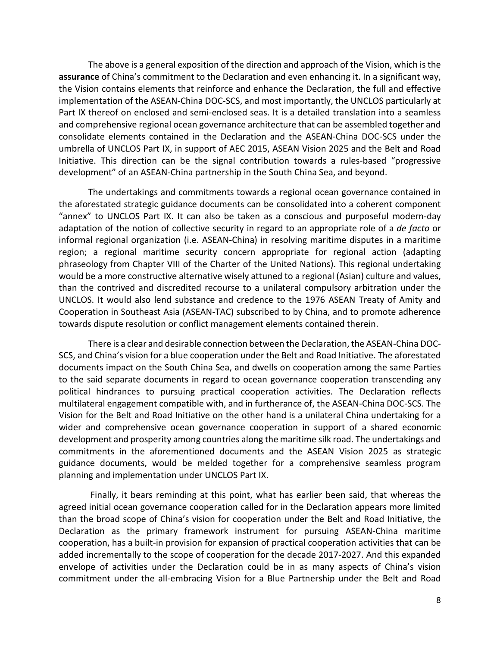The above is a general exposition of the direction and approach of the Vision, which is the **assurance** of China's commitment to the Declaration and even enhancing it. In a significant way, the Vision contains elements that reinforce and enhance the Declaration, the full and effective implementation of the ASEAN-China DOC-SCS, and most importantly, the UNCLOS particularly at Part IX thereof on enclosed and semi-enclosed seas. It is a detailed translation into a seamless and comprehensive regional ocean governance architecture that can be assembled together and consolidate elements contained in the Declaration and the ASEAN-China DOC-SCS under the umbrella of UNCLOS Part IX, in support of AEC 2015, ASEAN Vision 2025 and the Belt and Road Initiative. This direction can be the signal contribution towards a rules-based "progressive development" of an ASEAN-China partnership in the South China Sea, and beyond.

The undertakings and commitments towards a regional ocean governance contained in the aforestated strategic guidance documents can be consolidated into a coherent component "annex" to UNCLOS Part IX. It can also be taken as a conscious and purposeful modern-day adaptation of the notion of collective security in regard to an appropriate role of a *de facto* or informal regional organization (i.e. ASEAN-China) in resolving maritime disputes in a maritime region; a regional maritime security concern appropriate for regional action (adapting phraseology from Chapter VIII of the Charter of the United Nations). This regional undertaking would be a more constructive alternative wisely attuned to a regional (Asian) culture and values, than the contrived and discredited recourse to a unilateral compulsory arbitration under the UNCLOS. It would also lend substance and credence to the 1976 ASEAN Treaty of Amity and Cooperation in Southeast Asia (ASEAN-TAC) subscribed to by China, and to promote adherence towards dispute resolution or conflict management elements contained therein.

There is a clear and desirable connection between the Declaration, the ASEAN-China DOC-SCS, and China's vision for a blue cooperation under the Belt and Road Initiative. The aforestated documents impact on the South China Sea, and dwells on cooperation among the same Parties to the said separate documents in regard to ocean governance cooperation transcending any political hindrances to pursuing practical cooperation activities. The Declaration reflects multilateral engagement compatible with, and in furtherance of, the ASEAN-China DOC-SCS. The Vision for the Belt and Road Initiative on the other hand is a unilateral China undertaking for a wider and comprehensive ocean governance cooperation in support of a shared economic development and prosperity among countries along the maritime silk road. The undertakings and commitments in the aforementioned documents and the ASEAN Vision 2025 as strategic guidance documents, would be melded together for a comprehensive seamless program planning and implementation under UNCLOS Part IX.

Finally, it bears reminding at this point, what has earlier been said, that whereas the agreed initial ocean governance cooperation called for in the Declaration appears more limited than the broad scope of China's vision for cooperation under the Belt and Road Initiative, the Declaration as the primary framework instrument for pursuing ASEAN-China maritime cooperation, has a built-in provision for expansion of practical cooperation activities that can be added incrementally to the scope of cooperation for the decade 2017-2027. And this expanded envelope of activities under the Declaration could be in as many aspects of China's vision commitment under the all-embracing Vision for a Blue Partnership under the Belt and Road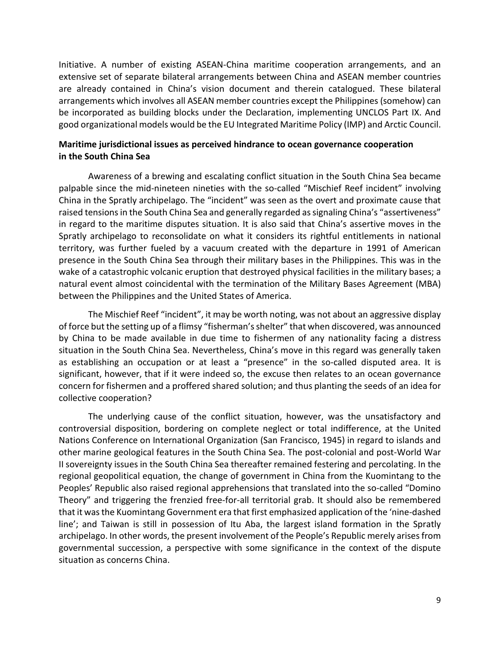Initiative. A number of existing ASEAN-China maritime cooperation arrangements, and an extensive set of separate bilateral arrangements between China and ASEAN member countries are already contained in China's vision document and therein catalogued. These bilateral arrangements which involves all ASEAN member countries except the Philippines (somehow) can be incorporated as building blocks under the Declaration, implementing UNCLOS Part IX. And good organizational models would be the EU Integrated Maritime Policy (IMP) and Arctic Council.

#### **Maritime jurisdictional issues as perceived hindrance to ocean governance cooperation in the South China Sea**

Awareness of a brewing and escalating conflict situation in the South China Sea became palpable since the mid-nineteen nineties with the so-called "Mischief Reef incident" involving China in the Spratly archipelago. The "incident" was seen as the overt and proximate cause that raised tensions in the South China Sea and generally regarded as signaling China's "assertiveness" in regard to the maritime disputes situation. It is also said that China's assertive moves in the Spratly archipelago to reconsolidate on what it considers its rightful entitlements in national territory, was further fueled by a vacuum created with the departure in 1991 of American presence in the South China Sea through their military bases in the Philippines. This was in the wake of a catastrophic volcanic eruption that destroyed physical facilities in the military bases; a natural event almost coincidental with the termination of the Military Bases Agreement (MBA) between the Philippines and the United States of America.

The Mischief Reef "incident", it may be worth noting, was not about an aggressive display of force but the setting up of a flimsy "fisherman's shelter" that when discovered, was announced by China to be made available in due time to fishermen of any nationality facing a distress situation in the South China Sea. Nevertheless, China's move in this regard was generally taken as establishing an occupation or at least a "presence" in the so-called disputed area. It is significant, however, that if it were indeed so, the excuse then relates to an ocean governance concern for fishermen and a proffered shared solution; and thus planting the seeds of an idea for collective cooperation?

The underlying cause of the conflict situation, however, was the unsatisfactory and controversial disposition, bordering on complete neglect or total indifference, at the United Nations Conference on International Organization (San Francisco, 1945) in regard to islands and other marine geological features in the South China Sea. The post-colonial and post-World War II sovereignty issues in the South China Sea thereafter remained festering and percolating. In the regional geopolitical equation, the change of government in China from the Kuomintang to the Peoples' Republic also raised regional apprehensions that translated into the so-called "Domino Theory" and triggering the frenzied free-for-all territorial grab. It should also be remembered that it was the Kuomintang Government era that first emphasized application of the 'nine-dashed line'; and Taiwan is still in possession of Itu Aba, the largest island formation in the Spratly archipelago. In other words, the present involvement of the People's Republic merely arises from governmental succession, a perspective with some significance in the context of the dispute situation as concerns China.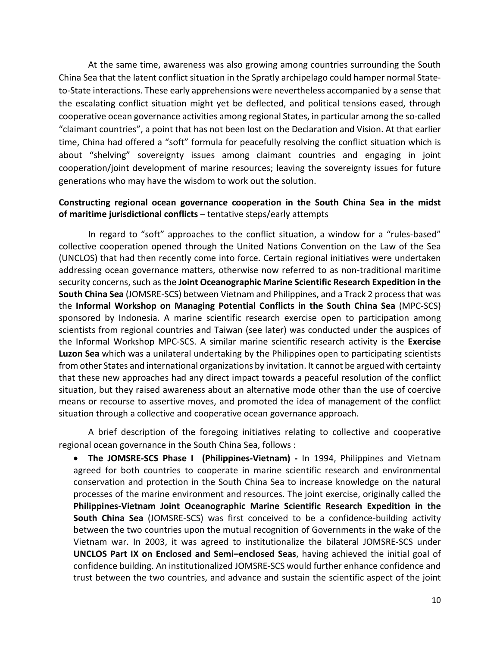At the same time, awareness was also growing among countries surrounding the South China Sea that the latent conflict situation in the Spratly archipelago could hamper normal Stateto-State interactions. These early apprehensions were nevertheless accompanied by a sense that the escalating conflict situation might yet be deflected, and political tensions eased, through cooperative ocean governance activities among regional States, in particular among the so-called "claimant countries", a point that has not been lost on the Declaration and Vision. At that earlier time, China had offered a "soft" formula for peacefully resolving the conflict situation which is about "shelving" sovereignty issues among claimant countries and engaging in joint cooperation/joint development of marine resources; leaving the sovereignty issues for future generations who may have the wisdom to work out the solution.

#### **Constructing regional ocean governance cooperation in the South China Sea in the midst of maritime jurisdictional conflicts** – tentative steps/early attempts

In regard to "soft" approaches to the conflict situation, a window for a "rules-based" collective cooperation opened through the United Nations Convention on the Law of the Sea (UNCLOS) that had then recently come into force. Certain regional initiatives were undertaken addressing ocean governance matters, otherwise now referred to as non-traditional maritime security concerns, such as the **Joint Oceanographic Marine Scientific Research Expedition in the South China Sea** (JOMSRE-SCS) between Vietnam and Philippines, and a Track 2 process that was the **Informal Workshop on Managing Potential Conflicts in the South China Sea** (MPC-SCS) sponsored by Indonesia. A marine scientific research exercise open to participation among scientists from regional countries and Taiwan (see later) was conducted under the auspices of the Informal Workshop MPC-SCS. A similar marine scientific research activity is the **Exercise Luzon Sea** which was a unilateral undertaking by the Philippines open to participating scientists from other States and international organizations by invitation. It cannot be argued with certainty that these new approaches had any direct impact towards a peaceful resolution of the conflict situation, but they raised awareness about an alternative mode other than the use of coercive means or recourse to assertive moves, and promoted the idea of management of the conflict situation through a collective and cooperative ocean governance approach.

A brief description of the foregoing initiatives relating to collective and cooperative regional ocean governance in the South China Sea, follows :

• **The JOMSRE-SCS Phase I (Philippines-Vietnam) -** In 1994, Philippines and Vietnam agreed for both countries to cooperate in marine scientific research and environmental conservation and protection in the South China Sea to increase knowledge on the natural processes of the marine environment and resources. The joint exercise, originally called the **Philippines-Vietnam Joint Oceanographic Marine Scientific Research Expedition in the South China Sea** (JOMSRE-SCS) was first conceived to be a confidence-building activity between the two countries upon the mutual recognition of Governments in the wake of the Vietnam war. In 2003, it was agreed to institutionalize the bilateral JOMSRE-SCS under **UNCLOS Part IX on Enclosed and Semi–enclosed Seas**, having achieved the initial goal of confidence building. An institutionalized JOMSRE-SCS would further enhance confidence and trust between the two countries, and advance and sustain the scientific aspect of the joint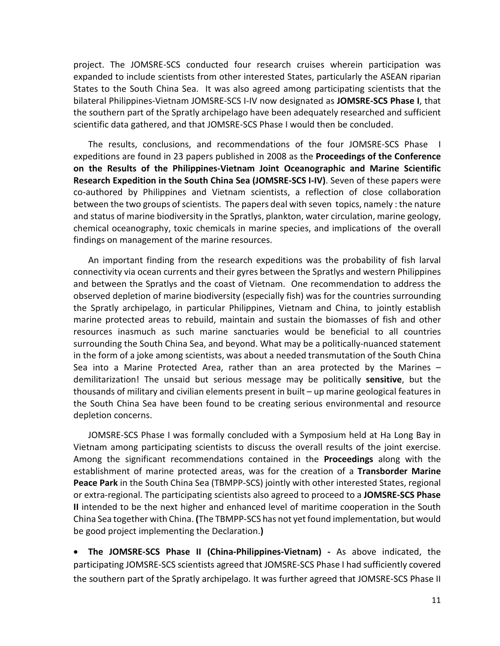project. The JOMSRE-SCS conducted four research cruises wherein participation was expanded to include scientists from other interested States, particularly the ASEAN riparian States to the South China Sea. It was also agreed among participating scientists that the bilateral Philippines-Vietnam JOMSRE-SCS I-IV now designated as **JOMSRE-SCS Phase I**, that the southern part of the Spratly archipelago have been adequately researched and sufficient scientific data gathered, and that JOMSRE-SCS Phase I would then be concluded.

The results, conclusions, and recommendations of the four JOMSRE-SCS Phase I expeditions are found in 23 papers published in 2008 as the **Proceedings of the Conference on the Results of the Philippines-Vietnam Joint Oceanographic and Marine Scientific Research Expedition in the South China Sea (JOMSRE-SCS I-IV)**. Seven of these papers were co-authored by Philippines and Vietnam scientists, a reflection of close collaboration between the two groups of scientists. The papers deal with seven topics, namely : the nature and status of marine biodiversity in the Spratlys, plankton, water circulation, marine geology, chemical oceanography, toxic chemicals in marine species, and implications of the overall findings on management of the marine resources.

An important finding from the research expeditions was the probability of fish larval connectivity via ocean currents and their gyres between the Spratlys and western Philippines and between the Spratlys and the coast of Vietnam. One recommendation to address the observed depletion of marine biodiversity (especially fish) was for the countries surrounding the Spratly archipelago, in particular Philippines, Vietnam and China, to jointly establish marine protected areas to rebuild, maintain and sustain the biomasses of fish and other resources inasmuch as such marine sanctuaries would be beneficial to all countries surrounding the South China Sea, and beyond. What may be a politically-nuanced statement in the form of a joke among scientists, was about a needed transmutation of the South China Sea into a Marine Protected Area, rather than an area protected by the Marines – demilitarization! The unsaid but serious message may be politically **sensitive**, but the thousands of military and civilian elements present in built – up marine geological features in the South China Sea have been found to be creating serious environmental and resource depletion concerns.

JOMSRE-SCS Phase I was formally concluded with a Symposium held at Ha Long Bay in Vietnam among participating scientists to discuss the overall results of the joint exercise. Among the significant recommendations contained in the **Proceedings** along with the establishment of marine protected areas, was for the creation of a **Transborder Marine Peace Park** in the South China Sea (TBMPP-SCS) jointly with other interested States, regional or extra-regional. The participating scientists also agreed to proceed to a **JOMSRE-SCS Phase II** intended to be the next higher and enhanced level of maritime cooperation in the South China Sea together with China. **(**The TBMPP-SCS has not yet found implementation, but would be good project implementing the Declaration.**)**

• **The JOMSRE-SCS Phase II (China-Philippines-Vietnam) -** As above indicated, the participating JOMSRE-SCS scientists agreed that JOMSRE-SCS Phase I had sufficiently covered the southern part of the Spratly archipelago. It was further agreed that JOMSRE-SCS Phase II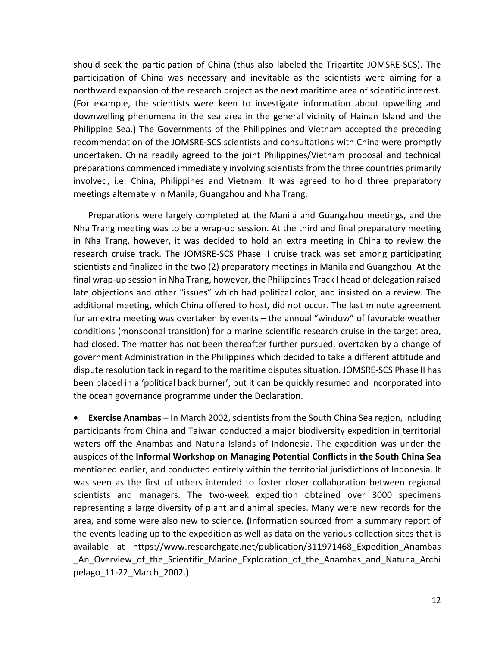should seek the participation of China (thus also labeled the Tripartite JOMSRE-SCS). The participation of China was necessary and inevitable as the scientists were aiming for a northward expansion of the research project as the next maritime area of scientific interest. **(**For example, the scientists were keen to investigate information about upwelling and downwelling phenomena in the sea area in the general vicinity of Hainan Island and the Philippine Sea.**)** The Governments of the Philippines and Vietnam accepted the preceding recommendation of the JOMSRE-SCS scientists and consultations with China were promptly undertaken. China readily agreed to the joint Philippines/Vietnam proposal and technical preparations commenced immediately involving scientists from the three countries primarily involved, i.e. China, Philippines and Vietnam. It was agreed to hold three preparatory meetings alternately in Manila, Guangzhou and Nha Trang.

Preparations were largely completed at the Manila and Guangzhou meetings, and the Nha Trang meeting was to be a wrap-up session. At the third and final preparatory meeting in Nha Trang, however, it was decided to hold an extra meeting in China to review the research cruise track. The JOMSRE-SCS Phase II cruise track was set among participating scientists and finalized in the two (2) preparatory meetings in Manila and Guangzhou. At the final wrap-up session in Nha Trang, however, the Philippines Track I head of delegation raised late objections and other "issues" which had political color, and insisted on a review. The additional meeting, which China offered to host, did not occur. The last minute agreement for an extra meeting was overtaken by events – the annual "window" of favorable weather conditions (monsoonal transition) for a marine scientific research cruise in the target area, had closed. The matter has not been thereafter further pursued, overtaken by a change of government Administration in the Philippines which decided to take a different attitude and dispute resolution tack in regard to the maritime disputes situation. JOMSRE-SCS Phase II has been placed in a 'political back burner', but it can be quickly resumed and incorporated into the ocean governance programme under the Declaration.

• **Exercise Anambas** – In March 2002, scientists from the South China Sea region, including participants from China and Taiwan conducted a major biodiversity expedition in territorial waters off the Anambas and Natuna Islands of Indonesia. The expedition was under the auspices of the **Informal Workshop on Managing Potential Conflicts in the South China Sea** mentioned earlier, and conducted entirely within the territorial jurisdictions of Indonesia. It was seen as the first of others intended to foster closer collaboration between regional scientists and managers. The two-week expedition obtained over 3000 specimens representing a large diversity of plant and animal species. Many were new records for the area, and some were also new to science. **(**Information sourced from a summary report of the events leading up to the expedition as well as data on the various collection sites that is available at [https://www.researchgate.net/p](https://www.researchgate.net/)ublication/311971468\_Expedition\_Anambas An Overview of the Scientific Marine Exploration of the Anambas and Natuna Archi pelago\_11-22\_March\_2002.**)**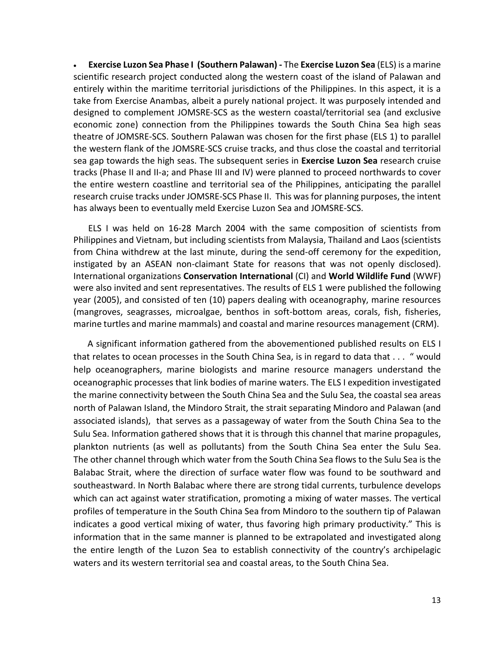• **Exercise Luzon Sea Phase I (Southern Palawan) -** The **Exercise Luzon Sea** (ELS) is a marine scientific research project conducted along the western coast of the island of Palawan and entirely within the maritime territorial jurisdictions of the Philippines. In this aspect, it is a take from Exercise Anambas, albeit a purely national project. It was purposely intended and designed to complement JOMSRE-SCS as the western coastal/territorial sea (and exclusive economic zone) connection from the Philippines towards the South China Sea high seas theatre of JOMSRE-SCS. Southern Palawan was chosen for the first phase (ELS 1) to parallel the western flank of the JOMSRE-SCS cruise tracks, and thus close the coastal and territorial sea gap towards the high seas. The subsequent series in **Exercise Luzon Sea** research cruise tracks (Phase II and II-a; and Phase III and IV) were planned to proceed northwards to cover the entire western coastline and territorial sea of the Philippines, anticipating the parallel research cruise tracks under JOMSRE-SCS Phase II. This was for planning purposes, the intent has always been to eventually meld Exercise Luzon Sea and JOMSRE-SCS.

ELS I was held on 16-28 March 2004 with the same composition of scientists from Philippines and Vietnam, but including scientists from Malaysia, Thailand and Laos (scientists from China withdrew at the last minute, during the send-off ceremony for the expedition, instigated by an ASEAN non-claimant State for reasons that was not openly disclosed). International organizations **Conservation International** (CI) and **World Wildlife Fund** (WWF) were also invited and sent representatives. The results of ELS 1 were published the following year (2005), and consisted of ten (10) papers dealing with oceanography, marine resources (mangroves, seagrasses, microalgae, benthos in soft-bottom areas, corals, fish, fisheries, marine turtles and marine mammals) and coastal and marine resources management (CRM).

 A significant information gathered from the abovementioned published results on ELS I that relates to ocean processes in the South China Sea, is in regard to data that . . . " would help oceanographers, marine biologists and marine resource managers understand the oceanographic processes that link bodies of marine waters. The ELS I expedition investigated the marine connectivity between the South China Sea and the Sulu Sea, the coastal sea areas north of Palawan Island, the Mindoro Strait, the strait separating Mindoro and Palawan (and associated islands), that serves as a passageway of water from the South China Sea to the Sulu Sea. Information gathered shows that it is through this channel that marine propagules, plankton nutrients (as well as pollutants) from the South China Sea enter the Sulu Sea. The other channel through which water from the South China Sea flows to the Sulu Sea is the Balabac Strait, where the direction of surface water flow was found to be southward and southeastward. In North Balabac where there are strong tidal currents, turbulence develops which can act against water stratification, promoting a mixing of water masses. The vertical profiles of temperature in the South China Sea from Mindoro to the southern tip of Palawan indicates a good vertical mixing of water, thus favoring high primary productivity." This is information that in the same manner is planned to be extrapolated and investigated along the entire length of the Luzon Sea to establish connectivity of the country's archipelagic waters and its western territorial sea and coastal areas, to the South China Sea.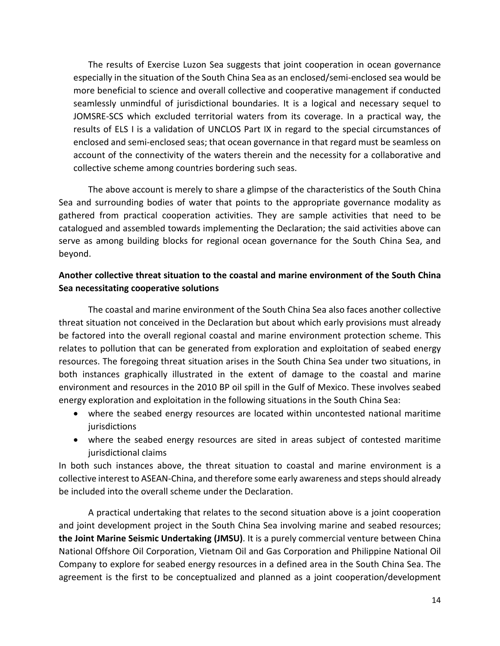The results of Exercise Luzon Sea suggests that joint cooperation in ocean governance especially in the situation of the South China Sea as an enclosed/semi-enclosed sea would be more beneficial to science and overall collective and cooperative management if conducted seamlessly unmindful of jurisdictional boundaries. It is a logical and necessary sequel to JOMSRE-SCS which excluded territorial waters from its coverage. In a practical way, the results of ELS I is a validation of UNCLOS Part IX in regard to the special circumstances of enclosed and semi-enclosed seas; that ocean governance in that regard must be seamless on account of the connectivity of the waters therein and the necessity for a collaborative and collective scheme among countries bordering such seas.

The above account is merely to share a glimpse of the characteristics of the South China Sea and surrounding bodies of water that points to the appropriate governance modality as gathered from practical cooperation activities. They are sample activities that need to be catalogued and assembled towards implementing the Declaration; the said activities above can serve as among building blocks for regional ocean governance for the South China Sea, and beyond.

### **Another collective threat situation to the coastal and marine environment of the South China Sea necessitating cooperative solutions**

The coastal and marine environment of the South China Sea also faces another collective threat situation not conceived in the Declaration but about which early provisions must already be factored into the overall regional coastal and marine environment protection scheme. This relates to pollution that can be generated from exploration and exploitation of seabed energy resources. The foregoing threat situation arises in the South China Sea under two situations, in both instances graphically illustrated in the extent of damage to the coastal and marine environment and resources in the 2010 BP oil spill in the Gulf of Mexico. These involves seabed energy exploration and exploitation in the following situations in the South China Sea:

- where the seabed energy resources are located within uncontested national maritime jurisdictions
- where the seabed energy resources are sited in areas subject of contested maritime jurisdictional claims

In both such instances above, the threat situation to coastal and marine environment is a collective interest to ASEAN-China, and therefore some early awareness and steps should already be included into the overall scheme under the Declaration.

A practical undertaking that relates to the second situation above is a joint cooperation and joint development project in the South China Sea involving marine and seabed resources; **the Joint Marine Seismic Undertaking (JMSU)**. It is a purely commercial venture between China National Offshore Oil Corporation, Vietnam Oil and Gas Corporation and Philippine National Oil Company to explore for seabed energy resources in a defined area in the South China Sea. The agreement is the first to be conceptualized and planned as a joint cooperation/development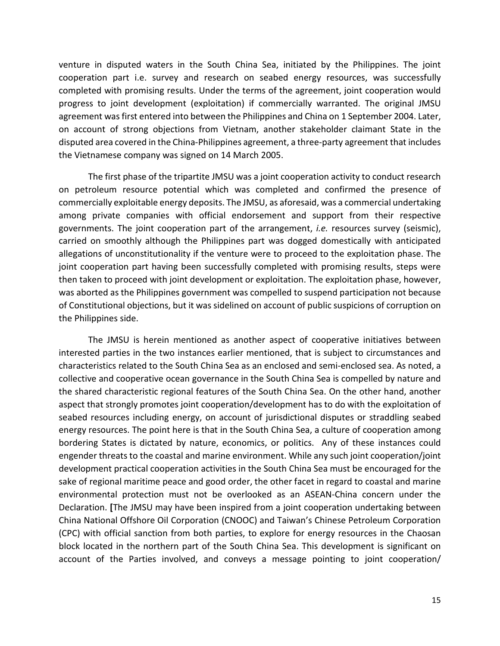venture in disputed waters in the South China Sea, initiated by the Philippines. The joint cooperation part i.e. survey and research on seabed energy resources, was successfully completed with promising results. Under the terms of the agreement, joint cooperation would progress to joint development (exploitation) if commercially warranted. The original JMSU agreement was first entered into between the Philippines and China on 1 September 2004. Later, on account of strong objections from Vietnam, another stakeholder claimant State in the disputed area covered in the China-Philippines agreement, a three-party agreement that includes the Vietnamese company was signed on 14 March 2005.

The first phase of the tripartite JMSU was a joint cooperation activity to conduct research on petroleum resource potential which was completed and confirmed the presence of commercially exploitable energy deposits. The JMSU, as aforesaid, was a commercial undertaking among private companies with official endorsement and support from their respective governments. The joint cooperation part of the arrangement, *i.e.* resources survey (seismic), carried on smoothly although the Philippines part was dogged domestically with anticipated allegations of unconstitutionality if the venture were to proceed to the exploitation phase. The joint cooperation part having been successfully completed with promising results, steps were then taken to proceed with joint development or exploitation. The exploitation phase, however, was aborted as the Philippines government was compelled to suspend participation not because of Constitutional objections, but it was sidelined on account of public suspicions of corruption on the Philippines side.

The JMSU is herein mentioned as another aspect of cooperative initiatives between interested parties in the two instances earlier mentioned, that is subject to circumstances and characteristics related to the South China Sea as an enclosed and semi-enclosed sea. As noted, a collective and cooperative ocean governance in the South China Sea is compelled by nature and the shared characteristic regional features of the South China Sea. On the other hand, another aspect that strongly promotes joint cooperation/development has to do with the exploitation of seabed resources including energy, on account of jurisdictional disputes or straddling seabed energy resources. The point here is that in the South China Sea, a culture of cooperation among bordering States is dictated by nature, economics, or politics. Any of these instances could engender threats to the coastal and marine environment. While any such joint cooperation/joint development practical cooperation activities in the South China Sea must be encouraged for the sake of regional maritime peace and good order, the other facet in regard to coastal and marine environmental protection must not be overlooked as an ASEAN-China concern under the Declaration. **[**The JMSU may have been inspired from a joint cooperation undertaking between China National Offshore Oil Corporation (CNOOC) and Taiwan's Chinese Petroleum Corporation (CPC) with official sanction from both parties, to explore for energy resources in the Chaosan block located in the northern part of the South China Sea. This development is significant on account of the Parties involved, and conveys a message pointing to joint cooperation/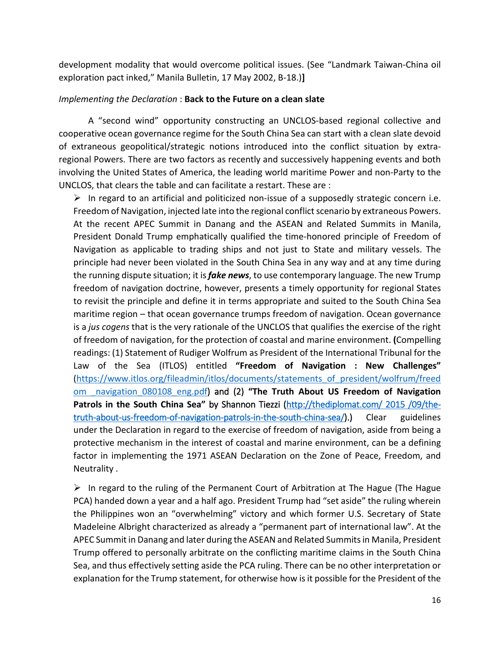development modality that would overcome political issues. (See "Landmark Taiwan-China oil exploration pact inked," Manila Bulletin, 17 May 2002, B-18.)**]**

#### *Implementing the Declaration* : **Back to the Future on a clean slate**

A "second wind" opportunity constructing an UNCLOS-based regional collective and cooperative ocean governance regime for the South China Sea can start with a clean slate devoid of extraneous geopolitical/strategic notions introduced into the conflict situation by extraregional Powers. There are two factors as recently and successively happening events and both involving the United States of America, the leading world maritime Power and non-Party to the UNCLOS, that clears the table and can facilitate a restart. These are :

 $\triangleright$  In regard to an artificial and politicized non-issue of a supposedly strategic concern i.e. Freedom of Navigation, injected late into the regional conflict scenario by extraneous Powers. At the recent APEC Summit in Danang and the ASEAN and Related Summits in Manila, President Donald Trump emphatically qualified the time-honored principle of Freedom of Navigation as applicable to trading ships and not just to State and military vessels. The principle had never been violated in the South China Sea in any way and at any time during the running dispute situation; it is *fake news*, to use contemporary language. The new Trump freedom of navigation doctrine, however, presents a timely opportunity for regional States to revisit the principle and define it in terms appropriate and suited to the South China Sea maritime region – that ocean governance trumps freedom of navigation. Ocean governance is a *jus cogens* that is the very rationale of the UNCLOS that qualifies the exercise of the right of freedom of navigation, for the protection of coastal and marine environment. **(**Compelling readings: (1) Statement of Rudiger Wolfrum as President of the International Tribunal for the Law of the Sea (ITLOS) entitled **"Freedom of Navigation : New Challenges"**  [\(https://www.itlos.org/fileadmin/itlos/documents/statements\\_of\\_president/wolfrum/freed](https://www.itlos.org/fileadmin/itlos/documents/statements_of_president/wolfrum/freedom%20_navigation_080108_eng.pdf) [om \\_navigation\\_080108\\_eng.pdf](https://www.itlos.org/fileadmin/itlos/documents/statements_of_president/wolfrum/freedom%20_navigation_080108_eng.pdf)) and (2) **"The Truth About US Freedom of Navigation Patrols in the South China Sea"** by Shannon Tiezzi [\(http://thediplomat.com/ 2015 /09/the](http://thediplomat.com/%202015%20/09/the-truth-about-us-freedom-of-navigation-patrols-in-the-south-china-sea/)[truth-about-us-freedom-of-navigation-patrols-in-the-south-china-sea/\)](http://thediplomat.com/%202015%20/09/the-truth-about-us-freedom-of-navigation-patrols-in-the-south-china-sea/).) Clear guidelines under the Declaration in regard to the exercise of freedom of navigation, aside from being a protective mechanism in the interest of coastal and marine environment, can be a defining factor in implementing the 1971 ASEAN Declaration on the Zone of Peace, Freedom, and Neutrality .

 $\triangleright$  In regard to the ruling of the Permanent Court of Arbitration at The Hague (The Hague PCA) handed down a year and a half ago. President Trump had "set aside" the ruling wherein the Philippines won an "overwhelming" victory and which former U.S. Secretary of State Madeleine Albright characterized as already a "permanent part of international law". At the APEC Summit in Danang and later during the ASEAN and Related Summits in Manila, President Trump offered to personally arbitrate on the conflicting maritime claims in the South China Sea, and thus effectively setting aside the PCA ruling. There can be no other interpretation or explanation for the Trump statement, for otherwise how is it possible for the President of the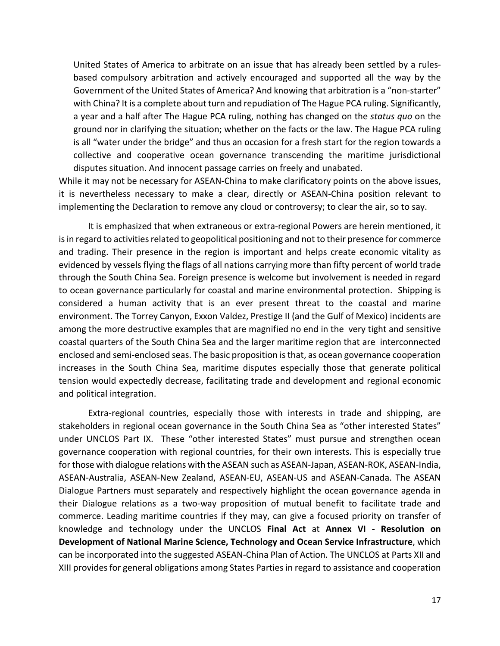United States of America to arbitrate on an issue that has already been settled by a rulesbased compulsory arbitration and actively encouraged and supported all the way by the Government of the United States of America? And knowing that arbitration is a "non-starter" with China? It is a complete about turn and repudiation of The Hague PCA ruling. Significantly, a year and a half after The Hague PCA ruling, nothing has changed on the *status quo* on the ground nor in clarifying the situation; whether on the facts or the law. The Hague PCA ruling is all "water under the bridge" and thus an occasion for a fresh start for the region towards a collective and cooperative ocean governance transcending the maritime jurisdictional disputes situation. And innocent passage carries on freely and unabated.

While it may not be necessary for ASEAN-China to make clarificatory points on the above issues, it is nevertheless necessary to make a clear, directly or ASEAN-China position relevant to implementing the Declaration to remove any cloud or controversy; to clear the air, so to say.

It is emphasized that when extraneous or extra-regional Powers are herein mentioned, it is in regard to activities related to geopolitical positioning and not to their presence for commerce and trading. Their presence in the region is important and helps create economic vitality as evidenced by vessels flying the flags of all nations carrying more than fifty percent of world trade through the South China Sea. Foreign presence is welcome but involvement is needed in regard to ocean governance particularly for coastal and marine environmental protection. Shipping is considered a human activity that is an ever present threat to the coastal and marine environment. The Torrey Canyon, Exxon Valdez, Prestige II (and the Gulf of Mexico) incidents are among the more destructive examples that are magnified no end in the very tight and sensitive coastal quarters of the South China Sea and the larger maritime region that are interconnected enclosed and semi-enclosed seas. The basic proposition is that, as ocean governance cooperation increases in the South China Sea, maritime disputes especially those that generate political tension would expectedly decrease, facilitating trade and development and regional economic and political integration.

Extra-regional countries, especially those with interests in trade and shipping, are stakeholders in regional ocean governance in the South China Sea as "other interested States" under UNCLOS Part IX. These "other interested States" must pursue and strengthen ocean governance cooperation with regional countries, for their own interests. This is especially true for those with dialogue relations with the ASEAN such as ASEAN-Japan, ASEAN-ROK, ASEAN-India, ASEAN-Australia, ASEAN-New Zealand, ASEAN-EU, ASEAN-US and ASEAN-Canada. The ASEAN Dialogue Partners must separately and respectively highlight the ocean governance agenda in their Dialogue relations as a two-way proposition of mutual benefit to facilitate trade and commerce. Leading maritime countries if they may, can give a focused priority on transfer of knowledge and technology under the UNCLOS **Final Act** at **Annex VI - Resolution on Development of National Marine Science, Technology and Ocean Service Infrastructure**, which can be incorporated into the suggested ASEAN-China Plan of Action. The UNCLOS at Parts XII and XIII provides for general obligations among States Parties in regard to assistance and cooperation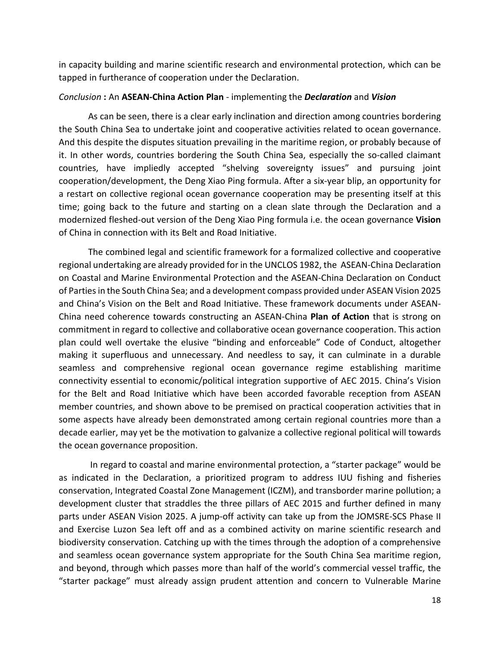in capacity building and marine scientific research and environmental protection, which can be tapped in furtherance of cooperation under the Declaration.

#### *Conclusion* **:** An **ASEAN-China Action Plan** - implementing the *Declaration* and *Vision*

As can be seen, there is a clear early inclination and direction among countries bordering the South China Sea to undertake joint and cooperative activities related to ocean governance. And this despite the disputes situation prevailing in the maritime region, or probably because of it. In other words, countries bordering the South China Sea, especially the so-called claimant countries, have impliedly accepted "shelving sovereignty issues" and pursuing joint cooperation/development, the Deng Xiao Ping formula. After a six-year blip, an opportunity for a restart on collective regional ocean governance cooperation may be presenting itself at this time; going back to the future and starting on a clean slate through the Declaration and a modernized fleshed-out version of the Deng Xiao Ping formula i.e. the ocean governance **Vision** of China in connection with its Belt and Road Initiative.

The combined legal and scientific framework for a formalized collective and cooperative regional undertaking are already provided for in the UNCLOS 1982, the ASEAN-China Declaration on Coastal and Marine Environmental Protection and the ASEAN-China Declaration on Conduct of Partiesin the South China Sea; and a development compass provided under ASEAN Vision 2025 and China's Vision on the Belt and Road Initiative. These framework documents under ASEAN-China need coherence towards constructing an ASEAN-China **Plan of Action** that is strong on commitment in regard to collective and collaborative ocean governance cooperation. This action plan could well overtake the elusive "binding and enforceable" Code of Conduct, altogether making it superfluous and unnecessary. And needless to say, it can culminate in a durable seamless and comprehensive regional ocean governance regime establishing maritime connectivity essential to economic/political integration supportive of AEC 2015. China's Vision for the Belt and Road Initiative which have been accorded favorable reception from ASEAN member countries, and shown above to be premised on practical cooperation activities that in some aspects have already been demonstrated among certain regional countries more than a decade earlier, may yet be the motivation to galvanize a collective regional political will towards the ocean governance proposition.

In regard to coastal and marine environmental protection, a "starter package" would be as indicated in the Declaration, a prioritized program to address IUU fishing and fisheries conservation, Integrated Coastal Zone Management (ICZM), and transborder marine pollution; a development cluster that straddles the three pillars of AEC 2015 and further defined in many parts under ASEAN Vision 2025. A jump-off activity can take up from the JOMSRE-SCS Phase II and Exercise Luzon Sea left off and as a combined activity on marine scientific research and biodiversity conservation. Catching up with the times through the adoption of a comprehensive and seamless ocean governance system appropriate for the South China Sea maritime region, and beyond, through which passes more than half of the world's commercial vessel traffic, the "starter package" must already assign prudent attention and concern to Vulnerable Marine